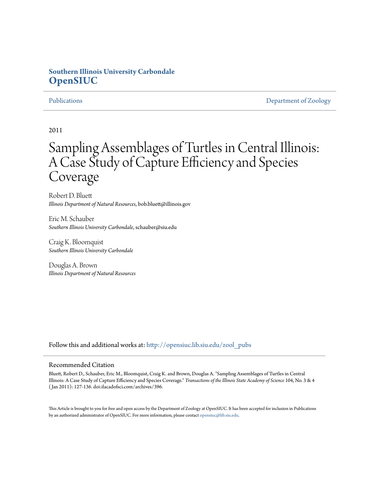### **Southern Illinois University Carbondale [OpenSIUC](http://opensiuc.lib.siu.edu?utm_source=opensiuc.lib.siu.edu%2Fzool_pubs%2F107&utm_medium=PDF&utm_campaign=PDFCoverPages)**

[Publications](http://opensiuc.lib.siu.edu/zool_pubs?utm_source=opensiuc.lib.siu.edu%2Fzool_pubs%2F107&utm_medium=PDF&utm_campaign=PDFCoverPages) **[Department of Zoology](http://opensiuc.lib.siu.edu/zool?utm_source=opensiuc.lib.siu.edu%2Fzool_pubs%2F107&utm_medium=PDF&utm_campaign=PDFCoverPages)** 

2011

# Sampling Assemblages of Turtles in Central Illinois: A Case Study of Capture Efficiency and Species Coverage

Robert D. Bluett *Illinois Department of Natural Resources*, bob.bluett@illinois.gov

Eric M. Schauber *Southern Illinois University Carbondale*, schauber@siu.edu

Craig K. Bloomquist *Southern Illinois University Carbondale*

Douglas A. Brown *Illinois Department of Natural Resources*

Follow this and additional works at: [http://opensiuc.lib.siu.edu/zool\\_pubs](http://opensiuc.lib.siu.edu/zool_pubs?utm_source=opensiuc.lib.siu.edu%2Fzool_pubs%2F107&utm_medium=PDF&utm_campaign=PDFCoverPages)

#### Recommended Citation

Bluett, Robert D., Schauber, Eric M., Bloomquist, Craig K. and Brown, Douglas A. "Sampling Assemblages of Turtles in Central Illinois: A Case Study of Capture Efficiency and Species Coverage." *Transactions of the Illinois State Academy of Science* 104, No. 3 & 4 ( Jan 2011): 127-136. doi:ilacadofsci.com/archives/396.

This Article is brought to you for free and open access by the Department of Zoology at OpenSIUC. It has been accepted for inclusion in Publications by an authorized administrator of OpenSIUC. For more information, please contact [opensiuc@lib.siu.edu.](mailto:opensiuc@lib.siu.edu)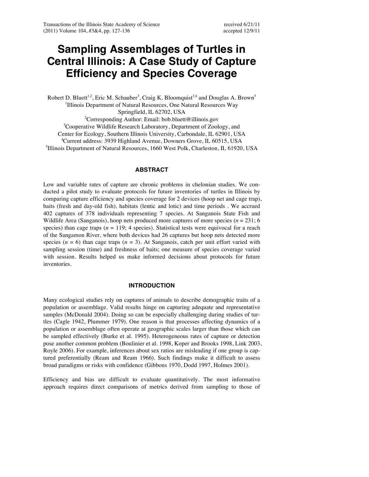## **Sampling Assemblages of Turtles in Central Illinois: A Case Study of Capture Efficiency and Species Coverage**

Robert D. Bluett<sup>1,2</sup>, Eric M. Schauber<sup>3</sup>, Craig K. Bloomquist<sup>3,4</sup> and Douglas A. Brown<sup>5</sup> <sup>1</sup>Illinois Department of Natural Resources, One Natural Resources Way Springfield, IL 62702, USA <sup>2</sup>Corresponding Author: Email: bob.bluett@illinois.gov <sup>3</sup>Cooperative Wildlife Research Laboratory, Department of Zoology, and Center for Ecology, Southern Illinois University, Carbondale, IL 62901, USA 4 Current address: 3939 Highland Avenue, Downers Grove, IL 60515, USA 5 Illinois Department of Natural Resources, 1660 West Polk, Charleston, IL 61920, USA

#### **ABSTRACT**

Low and variable rates of capture are chronic problems in chelonian studies. We conducted a pilot study to evaluate protocols for future inventories of turtles in Illinois by comparing capture efficiency and species coverage for 2 devices (hoop net and cage trap), baits (fresh and day-old fish), habitats (lentic and lotic) and time periods . We accrued 402 captures of 378 individuals representing 7 species. At Sanganois State Fish and Wildlife Area (Sanganois), hoop nets produced more captures of more species (*n* = 231; 6 species) than cage traps ( $n = 119$ ; 4 species). Statistical tests were equivocal for a reach of the Sangamon River, where both devices had 26 captures but hoop nets detected more species ( $n = 6$ ) than cage traps ( $n = 3$ ). At Sanganois, catch per unit effort varied with sampling session (time) and freshness of baits; one measure of species coverage varied with session. Results helped us make informed decisions about protocols for future inventories.

### **INTRODUCTION**

Many ecological studies rely on captures of animals to describe demographic traits of a population or assemblage. Valid results hinge on capturing adequate and representative samples (McDonald 2004). Doing so can be especially challenging during studies of turtles (Cagle 1942, Plummer 1979). One reason is that processes affecting dynamics of a population or assemblage often operate at geographic scales larger than those which can be sampled effectively (Burke et al. 1995). Heterogeneous rates of capture or detection pose another common problem (Boulinier et al. 1998, Koper and Brooks 1998, Link 2003, Royle 2006). For example, inferences about sex ratios are misleading if one group is captured preferentially (Ream and Ream 1966). Such findings make it difficult to assess broad paradigms or risks with confidence (Gibbons 1970, Dodd 1997, Holmes 2001).

Efficiency and bias are difficult to evaluate quantitatively. The most informative approach requires direct comparisons of metrics derived from sampling to those of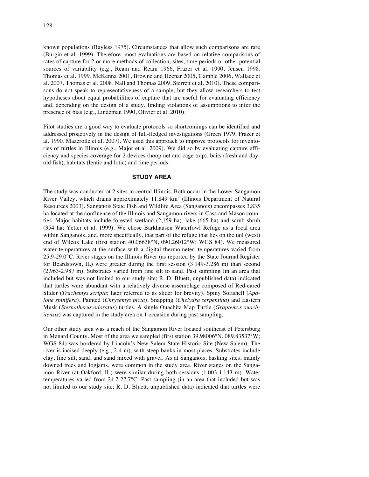known populations (Bayless 1975). Circumstances that allow such comparisons are rare (Burgin et al. 1999). Therefore, most evaluations are based on relative comparisons of rates of capture for 2 or more methods of collection, sites, time periods or other potential sources of variability (e.g., Ream and Ream 1966, Frazer et al. 1990, Jensen 1998, Thomas et al. 1999, McKenna 2001, Browne and Hecnar 2005, Gamble 2006, Wallace et al. 2007, Thomas et al. 2008, Nall and Thomas 2009, Sterrett et al. 2010). These comparisons do not speak to representativeness of a sample, but they allow researchers to test hypotheses about equal probabilities of capture that are useful for evaluating efficiency and, depending on the design of a study, finding violations of assumptions to infer the presence of bias (e.g., Lindeman 1990, Olivier et al. 2010).

Pilot studies are a good way to evaluate protocols so shortcomings can be identified and addressed proactively in the design of full-fledged investigations (Green 1979, Frazer et al. 1990, Mazerolle et al. 2007). We used this approach to improve protocols for inventories of turtles in Illinois (e.g., Major et al. 2009). We did so by evaluating capture efficiency and species coverage for 2 devices (hoop net and cage trap), baits (fresh and dayold fish), habitats (lentic and lotic) and time periods.

#### **STUDY AREA**

The study was conducted at 2 sites in central Illinois. Both occur in the Lower Sangamon River Valley, which drains approximately  $11,849$  km<sup>2</sup> (Illinois Department of Natural Resources 2003). Sanganois State Fish and Wildlife Area (Sanganois) encompasses 3,835 ha located at the confluence of the Illinois and Sangamon rivers in Cass and Mason counties. Major habitats include forested wetland (2,159 ha), lake (665 ha) and scrub-shrub (354 ha; Yetter et al. 1999). We chose Barkhausen Waterfowl Refuge as a focal area within Sanganois, and, more specifically, that part of the refuge that lies on the tail (west) end of Wilcox Lake (first station 40.06638°N, 090.26012°W; WGS 84). We measured water temperatures at the surface with a digital thermometer; temperatures varied from 25.9-29.0°C. River stages on the Illinois River (as reported by the State Journal Register for Beardstown, IL) were greater during the first session (3.149-3.286 m) than second (2.963-2.987 m). Substrates varied from fine silt to sand. Past sampling (in an area that included but was not limited to our study site; R. D. Bluett, unpublished data) indicated that turtles were abundant with a relatively diverse assemblage composed of Red-eared Slider (*Trachemys scripta*; later referred to as slider for brevity), Spiny Softshell (*Apalone spinifera*), Painted (*Chrysemys picta*), Snapping (*Chelydra serpentina*) and Eastern Musk (*Sternotherus odoratus*) turtles. A single Ouachita Map Turtle (*Graptemys ouachitensis*) was captured in the study area on 1 occasion during past sampling.

Our other study area was a reach of the Sangamon River located southeast of Petersburg in Menard County. Most of the area we sampled (first station 39.98006°N, 089.83537°W; WGS 84) was bordered by Lincoln's New Salem State Historic Site (New Salem). The river is incised deeply (e.g., 2-4 m), with steep banks in most places. Substrates include clay, fine silt, sand, and sand mixed with gravel. As at Sanganois, basking sites, mainly downed trees and logjams, were common in the study area. River stages on the Sangamon River (at Oakford, IL) were similar during both sessions (1.003-1.143 m). Water temperatures varied from 24.7-27.7°C. Past sampling (in an area that included but was not limited to our study site; R. D. Bluett, unpublished data) indicated that turtles were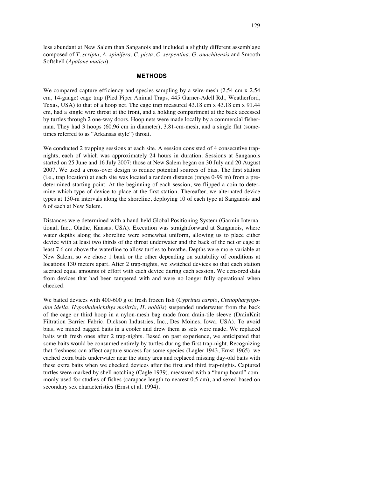less abundant at New Salem than Sanganois and included a slightly different assemblage composed of *T*. *scripta*, *A*. *spinifera*, *C*. *picta*, *C*. *serpentina*, *G*. *ouachitensis* and Smooth Softshell (*Apalone mutica*).

#### **METHODS**

We compared capture efficiency and species sampling by a wire-mesh (2.54 cm x 2.54) cm, 14-gauge) cage trap (Pied Piper Animal Traps, 445 Garner-Adell Rd., Weatherford, Texas, USA) to that of a hoop net. The cage trap measured 43.18 cm x 43.18 cm x 91.44 cm, had a single wire throat at the front, and a holding compartment at the back accessed by turtles through 2 one-way doors. Hoop nets were made locally by a commercial fisherman. They had 3 hoops (60.96 cm in diameter), 3.81-cm-mesh, and a single flat (sometimes referred to as "Arkansas style") throat.

We conducted 2 trapping sessions at each site. A session consisted of 4 consecutive trapnights, each of which was approximately 24 hours in duration. Sessions at Sanganois started on 25 June and 16 July 2007; those at New Salem began on 30 July and 20 August 2007. We used a cross-over design to reduce potential sources of bias. The first station (i.e., trap location) at each site was located a random distance (range 0-99 m) from a predetermined starting point. At the beginning of each session, we flipped a coin to determine which type of device to place at the first station. Thereafter, we alternated device types at 130-m intervals along the shoreline, deploying 10 of each type at Sanganois and 6 of each at New Salem.

Distances were determined with a hand-held Global Positioning System (Garmin International, Inc., Olathe, Kansas, USA). Execution was straightforward at Sanganois, where water depths along the shoreline were somewhat uniform, allowing us to place either device with at least two thirds of the throat underwater and the back of the net or cage at least 7.6 cm above the waterline to allow turtles to breathe. Depths were more variable at New Salem, so we chose 1 bank or the other depending on suitability of conditions at locations 130 meters apart. After 2 trap-nights, we switched devices so that each station accrued equal amounts of effort with each device during each session. We censored data from devices that had been tampered with and were no longer fully operational when checked.

We baited devices with 400-600 g of fresh frozen fish (*Cyprinus carpio*, *Ctenopharyngodon idella*, *Hypothalmichthys molitrix*, *H*. *nobilis*) suspended underwater from the back of the cage or third hoop in a nylon-mesh bag made from drain-tile sleeve (DrainKnit Filtration Barrier Fabric, Dickson Industries, Inc., Des Moines, Iowa, USA). To avoid bias, we mixed bagged baits in a cooler and drew them as sets were made. We replaced baits with fresh ones after 2 trap-nights. Based on past experience, we anticipated that some baits would be consumed entirely by turtles during the first trap-night. Recognizing that freshness can affect capture success for some species (Lagler 1943, Ernst 1965), we cached extra baits underwater near the study area and replaced missing day-old baits with these extra baits when we checked devices after the first and third trap-nights. Captured turtles were marked by shell notching (Cagle 1939), measured with a "bump board" commonly used for studies of fishes (carapace length to nearest 0.5 cm), and sexed based on secondary sex characteristics (Ernst et al. 1994).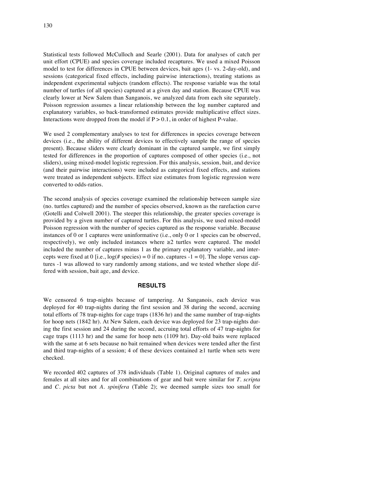Statistical tests followed McCulloch and Searle (2001). Data for analyses of catch per unit effort (CPUE) and species coverage included recaptures. We used a mixed Poisson model to test for differences in CPUE between devices, bait ages (1- vs. 2-day-old), and sessions (categorical fixed effects, including pairwise interactions), treating stations as independent experimental subjects (random effects). The response variable was the total number of turtles (of all species) captured at a given day and station. Because CPUE was clearly lower at New Salem than Sanganois, we analyzed data from each site separately. Poisson regression assumes a linear relationship between the log number captured and explanatory variables, so back-transformed estimates provide multiplicative effect sizes. Interactions were dropped from the model if  $P > 0.1$ , in order of highest P-value.

We used 2 complementary analyses to test for differences in species coverage between devices (i.e., the ability of different devices to effectively sample the range of species present). Because sliders were clearly dominant in the captured sample, we first simply tested for differences in the proportion of captures composed of other species (i.e., not sliders), using mixed-model logistic regression. For this analysis, session, bait, and device (and their pairwise interactions) were included as categorical fixed effects, and stations were treated as independent subjects. Effect size estimates from logistic regression were converted to odds-ratios.

The second analysis of species coverage examined the relationship between sample size (no. turtles captured) and the number of species observed, known as the rarefaction curve (Gotelli and Colwell 2001). The steeper this relationship, the greater species coverage is provided by a given number of captured turtles. For this analysis, we used mixed-model Poisson regression with the number of species captured as the response variable. Because instances of 0 or 1 captures were uninformative (i.e., only 0 or 1 species can be observed, respectively), we only included instances where  $\geq 2$  turtles were captured. The model included the number of captures minus 1 as the primary explanatory variable, and intercepts were fixed at 0 [i.e.,  $log(\text{\# species}) = 0$  if no. captures  $-1 = 0$ ]. The slope versus captures -1 was allowed to vary randomly among stations, and we tested whether slope differed with session, bait age, and device.

#### **RESULTS**

We censored 6 trap-nights because of tampering. At Sanganois, each device was deployed for 40 trap-nights during the first session and 38 during the second, accruing total efforts of 78 trap-nights for cage traps (1836 hr) and the same number of trap-nights for hoop nets (1842 hr). At New Salem, each device was deployed for 23 trap-nights during the first session and 24 during the second, accruing total efforts of 47 trap-nights for cage traps (1113 hr) and the same for hoop nets (1109 hr). Day-old baits were replaced with the same at 6 sets because no bait remained when devices were tended after the first and third trap-nights of a session; 4 of these devices contained ≥1 turtle when sets were checked.

We recorded 402 captures of 378 individuals (Table 1). Original captures of males and females at all sites and for all combinations of gear and bait were similar for *T*. *scripta*  and *C*. *picta* but not *A*. *spinifera* (Table 2); we deemed sample sizes too small for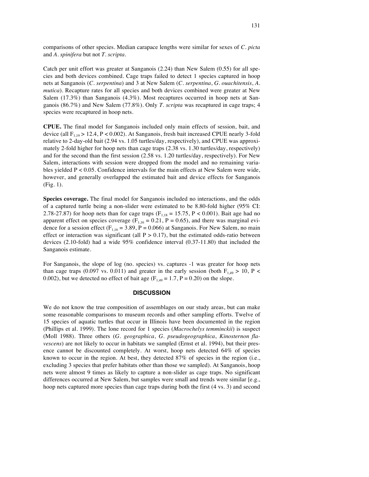comparisons of other species. Median carapace lengths were similar for sexes of *C*. *picta* and *A*. *spinifera* but not *T*. *scripta*.

Catch per unit effort was greater at Sanganois (2.24) than New Salem (0.55) for all species and both devices combined. Cage traps failed to detect 1 species captured in hoop nets at Sanganois (*C*. *serpentina*) and 3 at New Salem (*C*. *serpentina*, *G*. *ouachitensis*, *A*. *mutica*). Recapture rates for all species and both devices combined were greater at New Salem (17.3%) than Sanganois (4.3%). Most recaptures occurred in hoop nets at Sanganois (86.7%) and New Salem (77.8%). Only *T*. *scripta* was recaptured in cage traps; 4 species were recaptured in hoop nets.

**CPUE.** The final model for Sanganois included only main effects of session, bait, and device (all  $F_{1,19} > 12.4$ ,  $P < 0.002$ ). At Sanganois, fresh bait increased CPUE nearly 3-fold relative to 2-day-old bait (2.94 vs. 1.05 turtles/day, respectively), and CPUE was approximately 2-fold higher for hoop nets than cage traps (2.38 vs. 1.30 turtles/day, respectively) and for the second than the first session (2.58 vs. 1.20 turtles/day, respectively). For New Salem, interactions with session were dropped from the model and no remaining variables yielded P < 0.05. Confidence intervals for the main effects at New Salem were wide, however, and generally overlapped the estimated bait and device effects for Sanganois (Fig. 1).

**Species coverage.** The final model for Sanganois included no interactions, and the odds of a captured turtle being a non-slider were estimated to be 8.80-fold higher (95% CI: 2.78-27.87) for hoop nets than for cage traps ( $F_{1,18} = 15.75$ ,  $P < 0.001$ ). Bait age had no apparent effect on species coverage ( $F_{1,16} = 0.21$ ,  $P = 0.65$ ), and there was marginal evidence for a session effect ( $F_{1,16} = 3.89$ ,  $P = 0.066$ ) at Sanganois. For New Salem, no main effect or interaction was significant (all  $P > 0.17$ ), but the estimated odds-ratio between devices (2.10-fold) had a wide 95% confidence interval (0.37-11.80) that included the Sanganois estimate.

For Sanganois, the slope of log (no. species) vs. captures -1 was greater for hoop nets than cage traps (0.097 vs. 0.011) and greater in the early session (both  $F_{1,49} > 10$ , P < 0.002), but we detected no effect of bait age  $(F<sub>1,49</sub> = 1.7, P = 0.20)$  on the slope.

#### **DISCUSSION**

We do not know the true composition of assemblages on our study areas, but can make some reasonable comparisons to museum records and other sampling efforts. Twelve of 15 species of aquatic turtles that occur in Illinois have been documented in the region (Phillips et al. 1999). The lone record for 1 species (*Macrochelys temminckii*) is suspect (Moll 1988). Three others (*G*. *geographica*, *G*. *pseudogeographica*, *Kinosternon flavescens*) are not likely to occur in habitats we sampled (Ernst et al. 1994), but their presence cannot be discounted completely. At worst, hoop nets detected 64% of species known to occur in the region. At best, they detected 87% of species in the region (i.e., excluding 3 species that prefer habitats other than those we sampled). At Sanganois, hoop nets were almost 9 times as likely to capture a non-slider as cage traps. No significant differences occurred at New Salem, but samples were small and trends were similar [e.g., hoop nets captured more species than cage traps during both the first (4 vs. 3) and second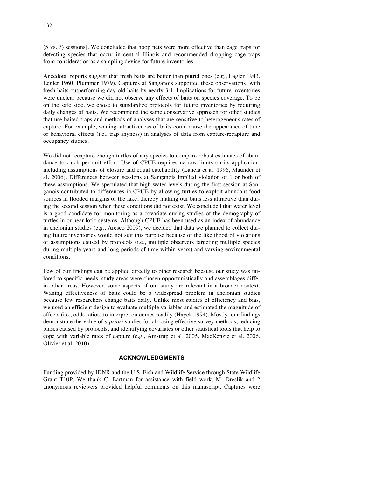(5 vs. 3) sessions]. We concluded that hoop nets were more effective than cage traps for detecting species that occur in central Illinois and recommended dropping cage traps from consideration as a sampling device for future inventories.

Anecdotal reports suggest that fresh baits are better than putrid ones (e.g., Lagler 1943, Legler 1960, Plummer 1979). Captures at Sanganois supported these observations, with fresh baits outperforming day-old baits by nearly 3:1. Implications for future inventories were unclear because we did not observe any effects of baits on species coverage. To be on the safe side, we chose to standardize protocols for future inventories by requiring daily changes of baits. We recommend the same conservative approach for other studies that use baited traps and methods of analyses that are sensitive to heterogeneous rates of capture. For example, waning attractiveness of baits could cause the appearance of time or behavioral effects (i.e., trap shyness) in analyses of data from capture-recapture and occupancy studies.

We did not recapture enough turtles of any species to compare robust estimates of abundance to catch per unit effort. Use of CPUE requires narrow limits on its application, including assumptions of closure and equal catchability (Lancia et al. 1996, Maunder et al. 2006). Differences between sessions at Sanganois implied violation of 1 or both of these assumptions. We speculated that high water levels during the first session at Sanganois contributed to differences in CPUE by allowing turtles to exploit abundant food sources in flooded margins of the lake, thereby making our baits less attractive than during the second session when these conditions did not exist. We concluded that water level is a good candidate for monitoring as a covariate during studies of the demography of turtles in or near lotic systems. Although CPUE has been used as an index of abundance in chelonian studies (e.g., Aresco 2009), we decided that data we planned to collect during future inventories would not suit this purpose because of the likelihood of violations of assumptions caused by protocols (i.e., multiple observers targeting multiple species during multiple years and long periods of time within years) and varying environmental conditions.

Few of our findings can be applied directly to other research because our study was tailored to specific needs, study areas were chosen opportunistically and assemblages differ in other areas. However, some aspects of our study are relevant in a broader context. Waning effectiveness of baits could be a widespread problem in chelonian studies because few researchers change baits daily. Unlike most studies of efficiency and bias, we used an efficient design to evaluate multiple variables and estimated the magnitude of effects (i.e., odds ratios) to interpret outcomes readily (Hayek 1994). Mostly, our findings demonstrate the value of *a priori* studies for choosing effective survey methods, reducing biases caused by protocols, and identifying covariates or other statistical tools that help to cope with variable rates of capture (e.g., Amstrup et al. 2005, MacKenzie et al. 2006, Olivier et al. 2010).

#### **ACKNOWLEDGMENTS**

Funding provided by IDNR and the U.S. Fish and Wildlife Service through State Wildlife Grant T10P. We thank C. Bartman for assistance with field work. M. Dreslik and 2 anonymous reviewers provided helpful comments on this manuscript. Captures were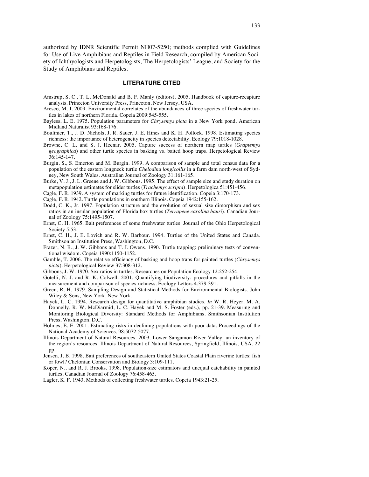authorized by IDNR Scientific Permit NH07-5250; methods complied with Guidelines for Use of Live Amphibians and Reptiles in Field Research, compiled by American Society of Ichthyologists and Herpetologists, The Herpetologists' League, and Society for the Study of Amphibians and Reptiles.

#### **LITERATURE CITED**

- Amstrup, S. C., T. L. McDonald and B. F. Manly (editors). 2005. Handbook of capture-recapture analysis. Princeton University Press, Princeton, New Jersey, USA.
- Aresco, M. J. 2009. Environmental correlates of the abundances of three species of freshwater turtles in lakes of northern Florida. Copeia 2009:545-555.
- Bayless, L. E. 1975. Population parameters for *Chrysemys picta* in a New York pond. American Midland Naturalist 93:168-176.
- Boulinier, T., J. D. Nichols, J. R. Sauer, J. E. Hines and K. H. Pollock. 1998. Estimating species richness: the importance of heterogeneity in species detectability. Ecology 79:1018-1028.
- Browne, C. L. and S. J. Hecnar. 2005. Capture success of northern map turtles (*Graptemys geographica*) and other turtle species in basking vs. baited hoop traps. Herpetological Review 36:145-147.
- Burgin, S., S. Emerton and M. Burgin. 1999. A comparison of sample and total census data for a population of the eastern longneck turtle *Chelodina longicollis* in a farm dam north-west of Sydney, New South Wales. Australian Journal of Zoology 31:161-165.
- Burke, V. J., J. L. Greene and J. W. Gibbons. 1995. The effect of sample size and study duration on metapopulation estimates for slider turtles (*Trachemys scripta*). Herpetologica 51:451-456.
- Cagle, F. R. 1939. A system of marking turtles for future identification. Copeia 3:170-173.
- Cagle, F. R. 1942. Turtle populations in southern Illinois. Copeia 1942:155-162.
- Dodd, C. K., Jr. 1997. Population structure and the evolution of sexual size dimorphism and sex ratios in an insular population of Florida box turtles (*Terrapene carolina bauri*). Canadian Journal of Zoology 75:1495-1507.
- Ernst, C. H. 1965. Bait preferences of some freshwater turtles. Journal of the Ohio Herpetological Society 5:53.
- Ernst, C. H., J. E. Lovich and R. W. Barbour. 1994. Turtles of the United States and Canada. Smithsonian Institution Press, Washington, D.C.
- Frazer, N. B., J. W. Gibbons and T. J. Owens. 1990. Turtle trapping: preliminary tests of conventional wisdom. Copeia 1990:1150-1152.
- Gamble, T. 2006. The relative efficiency of basking and hoop traps for painted turtles (*Chrysemys picta*). Herpetological Review 37:308-312.
- Gibbons, J. W. 1970. Sex ratios in turtles. Researches on Population Ecology 12:252-254.
- Gotelli, N. J. and R. K. Colwell. 2001. Quantifying biodiversity: procedures and pitfalls in the measurement and comparison of species richness. Ecology Letters 4:379-391.
- Green, R. H. 1979. Sampling Design and Statistical Methods for Environmental Biologists. John Wiley & Sons, New York, New York.
- Hayek, L. C. 1994. Research design for quantitative amphibian studies. *In* W. R. Heyer, M. A. Donnelly, R. W. McDiarmid, L. C. Hayek and M. S. Foster (eds.), pp. 21-39. Measuring and Monitoring Biological Diversity: Standard Methods for Amphibians. Smithsonian Institution Press, Washington, D.C.
- Holmes, E. E. 2001. Estimating risks in declining populations with poor data. Proceedings of the National Academy of Sciences. 98:5072-5077.
- Illinois Department of Natural Resources. 2003. Lower Sangamon River Valley: an inventory of the region's resources. Illinois Department of Natural Resources, Springfield, Illinois, USA. 22 pp.
- Jensen, J. B. 1998. Bait preferences of southeastern United States Coastal Plain riverine turtles: fish or fowl? Chelonian Conservation and Biology 3:109-111.
- Koper, N., and R. J. Brooks. 1998. Population-size estimators and unequal catchability in painted turtles. Canadian Journal of Zoology 76:458-465.
- Lagler, K. F. 1943. Methods of collecting freshwater turtles. Copeia 1943:21-25.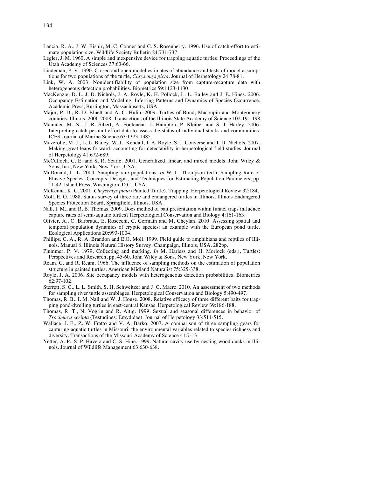- Lancia, R. A., J. W. Bishir, M. C. Conner and C. S. Rosenberry. 1996. Use of catch-effort to estimate population size. Wildlife Society Bulletin 24:731-737.
- Legler, J. M. 1960. A simple and inexpensive device for trapping aquatic turtles. Proceedings of the Utah Academy of Sciences 37:63-66.
- Lindeman, P. V. 1990. Closed and open model estimates of abundance and tests of model assumptions for two populations of the turtle, *Chrysemys picta*. Journal of Herpetology 24:78-81.
- Link, W. A. 2003. Nonidentifiability of population size from capture-recapture data with heterogeneous detection probabilities. Biometrics 59:1123-1130.
- MacKenzie, D. I., J. D. Nichols, J. A. Royle, K. H. Pollock, L. L. Bailey and J. E. Hines. 2006. Occupancy Estimation and Modeling: Inferring Patterns and Dynamics of Species Occurrence. Academic Press, Burlington, Massachusetts, USA.
- Major, P. D., R. D. Bluett and A. C. Hulin. 2009. Turtles of Bond, Macoupin and Montgomery counties, Illinois, 2006-2008. Transactions of the Illinois State Academy of Science 102:191-198.
- Maunder, M. N., J. R. Sibert, A. Fonteneau, J. Hampton, P. Kleiber and S. J. Harley. 2006. Interpreting catch per unit effort data to assess the status of individual stocks and communities. ICES Journal of Marine Science 63:1373-1385.
- Mazerolle, M. J., L. L. Bailey, W. L. Kendall, J. A. Royle, S. J. Converse and J. D. Nichols. 2007. Making great leaps forward: accounting for detectability in herpetological field studies. Journal of Herpetology 41:672-689.
- McCulloch, C. E. and S. R. Searle. 2001. Generalized, linear, and mixed models. John Wiley & Sons, Inc., New York, New York, USA.
- McDonald, L. L. 2004. Sampling rare populations. *In* W. L. Thompson (ed.), Sampling Rare or Elusive Species: Concepts, Designs, and Techniques for Estimating Population Parameters, pp. 11-42. Island Press, Washington, D.C., USA.
- McKenna, K. C. 2001. *Chrysemys picta* (Painted Turtle). Trapping. Herpetological Review 32:184.
- Moll, E. O. 1988. Status survey of three rare and endangered turtles in Illinois. Illinois Endangered Species Protection Board, Springfield, Illinois, USA.
- Nall, I. M., and R. B. Thomas. 2009. Does method of bait presentation within funnel traps influence capture rates of semi-aquatic turtles? Herpetological Conservation and Biology 4:161-163.
- Olivier, A., C. Barbraud, E. Rosecchi, C. Germain and M. Cheylan. 2010. Assessing spatial and temporal population dynamics of cryptic species: an example with the European pond turtle. Ecological Applications 20:993-1004.
- Phillips, C. A., R. A. Brandon and E.O. Moll. 1999. Field guide to amphibians and reptiles of Illinois. Manual 8. Illinois Natural History Survey, Champaign, Illinois, USA. 282pp.
- Plummer, P. V. 1979. Collecting and marking. *In* M. Harless and H. Morlock (eds.), Turtles: Perspectives and Research, pp. 45-60. John Wiley & Sons, New York, New York.
- Ream, C. and R. Ream. 1966. The influence of sampling methods on the estimation of population structure in painted turtles. American Midland Naturalist 75:325-338.
- Royle, J. A. 2006. Site occupancy models with heterogeneous detection probabilities. Biometrics 62:97-102.
- Sterrett, S. C., L. L. Smith, S. H. Schweitzer and J. C. Maerz. 2010. An assessment of two methods for sampling river turtle assemblages. Herpetological Conservation and Biology 5:490-497.
- Thomas, R. B., I. M. Nall and W. J. House. 2008. Relative efficacy of three different baits for trapping pond-dwelling turtles in east-central Kansas. Herpetological Review 39:186-188.
- Thomas, R. T., N. Vogrin and R. Altig. 1999. Sexual and seasonal differences in behavior of *Trachemys scripta* (Testudines: Emydidae). Journal of Herpetology 33:511-515.
- Wallace, J. E., Z. W. Fratto and V. A. Barko. 2007. A comparison of three sampling gears for capturing aquatic turtles in Missouri: the environmental variables related to species richness and diversity. Transactions of the Missouri Academy of Science 41:7-13.
- Yetter, A. P., S. P. Havera and C. S. Hine. 1999. Natural-cavity use by nesting wood ducks in Illinois. Journal of Wildlife Management 63:630-638.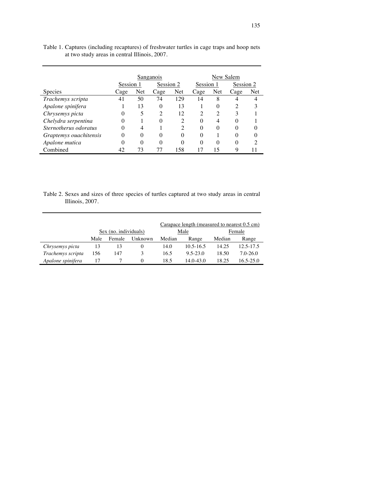|                        | Sanganois |     |                |                             | New Salem |                   |              |     |
|------------------------|-----------|-----|----------------|-----------------------------|-----------|-------------------|--------------|-----|
|                        | Session 1 |     | Session 2      |                             | Session 1 |                   | Session 2    |     |
| <b>Species</b>         | Cage      | Net | Cage           | Net                         | Cage      | Net               | Cage         | Net |
| Trachemys scripta      | 41        | 50  | 74             | 129                         | 14        | 8                 |              |     |
| Apalone spinifera      |           | 13  | $\Omega$       | 13                          |           | $\theta$          | 2            | 3   |
| Chrysemys picta        | $\theta$  | 5   | $\overline{c}$ | 12                          | っ         | 2                 | 3            |     |
| Chelydra serpentina    | 0         |     | $\Omega$       | 2                           | $\Omega$  | 4                 | 0            |     |
| Sternotherus odoratus  | 0         | 4   |                | $\mathcal{D}_{\mathcal{L}}$ | $\Omega$  | $\mathbf{\Omega}$ | $\theta$     |     |
| Graptemys ouachitensis | 0         | 0   | $\Omega$       | 0                           | 0         |                   | 0            | 0   |
| Apalone mutica         | 0         | 0   | $\Omega$       | 0                           | 0         | 0                 | $\mathbf{0}$ | っ   |
| Combined               | 42        | 73  | 77             | 158                         | 17        | 15                | 9            |     |

Table 1. Captures (including recaptures) of freshwater turtles in cage traps and hoop nets at two study areas in central Illinois, 2007.

Table 2. Sexes and sizes of three species of turtles captured at two study areas in central Illinois, 2007.

|                   |                       |        |         | Carapace length (measured to nearest 0.5 cm) |               |        |              |  |  |  |  |
|-------------------|-----------------------|--------|---------|----------------------------------------------|---------------|--------|--------------|--|--|--|--|
|                   | Sex (no. individuals) |        |         |                                              | Male          | Female |              |  |  |  |  |
|                   | Male                  | Female | Unknown | Median                                       | Range         | Median | Range        |  |  |  |  |
| Chrysemys picta   | 13                    | 13     | 0       | 14.0                                         | $10.5 - 16.5$ | 14.25  | 12.5-17.5    |  |  |  |  |
| Trachemys scripta | 156                   | 147    | 3       | 16.5                                         | $9.5 - 23.0$  | 18.50  | $7.0 - 26.0$ |  |  |  |  |
| Apalone spinifera |                       |        | 0       | 18.5                                         | $14.0 - 43.0$ | 18.25  | 16.5-25.0    |  |  |  |  |